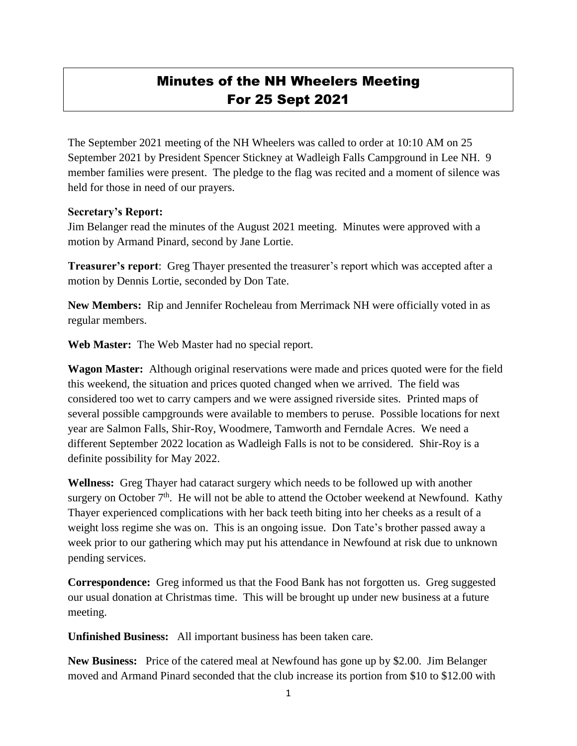## Minutes of the NH Wheelers Meeting For 25 Sept 2021

The September 2021 meeting of the NH Wheelers was called to order at 10:10 AM on 25 September 2021 by President Spencer Stickney at Wadleigh Falls Campground in Lee NH. 9 member families were present. The pledge to the flag was recited and a moment of silence was held for those in need of our prayers.

## **Secretary's Report:**

Jim Belanger read the minutes of the August 2021 meeting. Minutes were approved with a motion by Armand Pinard, second by Jane Lortie.

**Treasurer's report**: Greg Thayer presented the treasurer's report which was accepted after a motion by Dennis Lortie, seconded by Don Tate.

**New Members:** Rip and Jennifer Rocheleau from Merrimack NH were officially voted in as regular members.

**Web Master:** The Web Master had no special report.

**Wagon Master:** Although original reservations were made and prices quoted were for the field this weekend, the situation and prices quoted changed when we arrived. The field was considered too wet to carry campers and we were assigned riverside sites. Printed maps of several possible campgrounds were available to members to peruse. Possible locations for next year are Salmon Falls, Shir-Roy, Woodmere, Tamworth and Ferndale Acres. We need a different September 2022 location as Wadleigh Falls is not to be considered. Shir-Roy is a definite possibility for May 2022.

**Wellness:** Greg Thayer had cataract surgery which needs to be followed up with another surgery on October  $7<sup>th</sup>$ . He will not be able to attend the October weekend at Newfound. Kathy Thayer experienced complications with her back teeth biting into her cheeks as a result of a weight loss regime she was on. This is an ongoing issue. Don Tate's brother passed away a week prior to our gathering which may put his attendance in Newfound at risk due to unknown pending services.

**Correspondence:** Greg informed us that the Food Bank has not forgotten us. Greg suggested our usual donation at Christmas time. This will be brought up under new business at a future meeting.

**Unfinished Business:** All important business has been taken care.

**New Business:** Price of the catered meal at Newfound has gone up by \$2.00. Jim Belanger moved and Armand Pinard seconded that the club increase its portion from \$10 to \$12.00 with